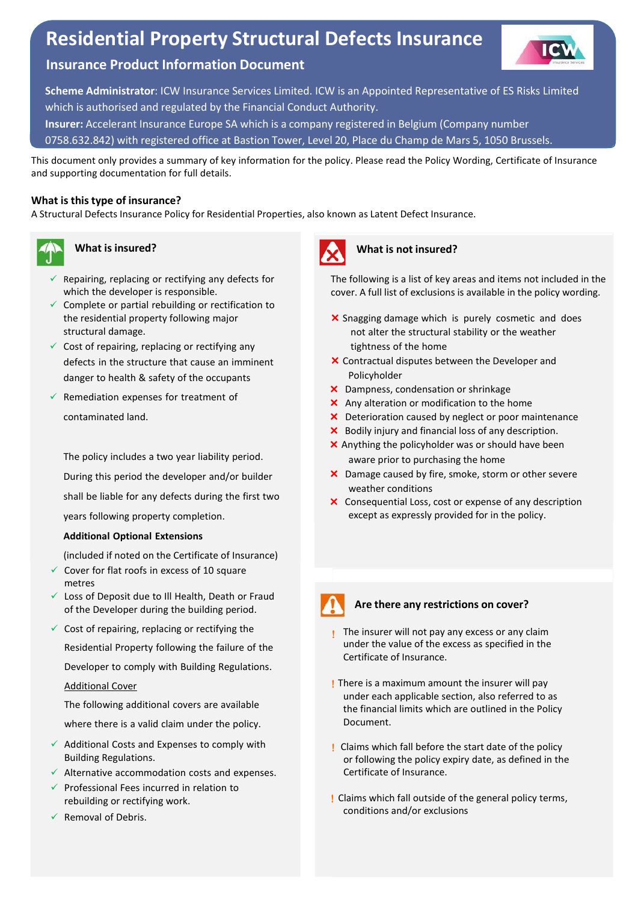# **Residential Property Structural Defects Insurance**



# **Insurance Product Information Document**

**Scheme Administrator**: ICW Insurance Services Limited. ICW is an Appointed Representative of ES Risks Limited which is authorised and regulated by the Financial Conduct Authority.

**Insurer:** Accelerant Insurance Europe SA which is a company registered in Belgium (Company number

0758.632.842) with registered office at Bastion Tower, Level 20, Place du Champ de Mars 5, 1050 Brussels.

This document only provides a summary of key information for the policy. Please read the Policy Wording, Certificate of Insurance and supporting documentation for full details.

## **What is this type of insurance?**

A Structural Defects Insurance Policy for Residential Properties, also known as Latent Defect Insurance.



#### **What is insured?**

- $\checkmark$  Repairing, replacing or rectifying any defects for which the developer is responsible.
- $\checkmark$  Complete or partial rebuilding or rectification to the residential property following major structural damage.
- $\checkmark$  Cost of repairing, replacing or rectifying any defects in the structure that cause an imminent danger to health & safety of the occupants
- $\checkmark$  Remediation expenses for treatment of contaminated land.

The policy includes a two year liability period. During this period the developer and/or builder shall be liable for any defects during the first two years following property completion.

#### **Additional Optional Extensions**

(included if noted on the Certificate of Insurance)

- $\checkmark$  Cover for flat roofs in excess of 10 square metres
- $\checkmark$  Loss of Deposit due to III Health, Death or Fraud of the Developer during the building period.
- $\checkmark$  Cost of repairing, replacing or rectifying the Residential Property following the failure of the Developer to comply with Building Regulations. Additional Cover

The following additional covers are available where there is a valid claim under the policy.

- $\checkmark$  Additional Costs and Expenses to comply with Building Regulations.
- $\checkmark$  Alternative accommodation costs and expenses.
- $\checkmark$  Professional Fees incurred in relation to rebuilding or rectifying work.
- $\checkmark$  Removal of Debris.



## **What is not insured?**

The following is a list of key areas and items not included in the cover. A full list of exclusions is available in the policy wording.

- $\times$  Snagging damage which is purely cosmetic and does not alter the structural stability or the weather tightness of the home
- Contractual disputes between the Developer and Policyholder
- Dampness, condensation or shrinkage
- X Any alteration or modification to the home
- X Deterioration caused by neglect or poor maintenance
- $\times$  Bodily injury and financial loss of any description.
- $\times$  Anything the policyholder was or should have been aware prior to purchasing the home
- X Damage caused by fire, smoke, storm or other severe weather conditions
- Consequential Loss, cost or expense of any description except as expressly provided for in the policy.



# **Are there any restrictions on cover?**

- $\blacksquare$  The insurer will not pay any excess or any claim under the value of the excess as specified in the Certificate of Insurance.
- ! There is a maximum amount the insurer will pay under each applicable section, also referred to as the financial limits which are outlined in the Policy Document.
- ! Claims which fall before the start date of the policy or following the policy expiry date, as defined in the Certificate of Insurance.
- ! Claims which fall outside of the general policy terms, conditions and/or exclusions